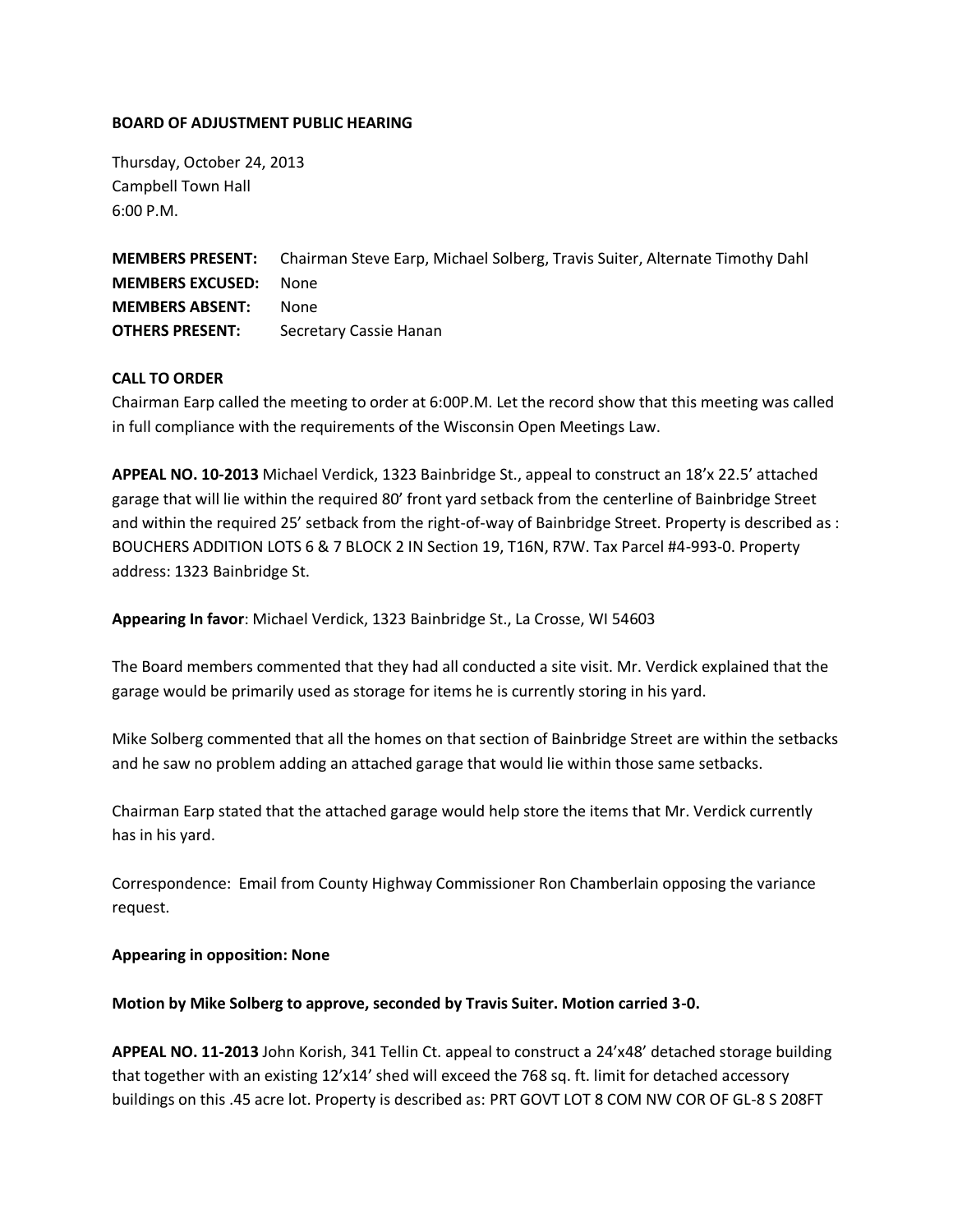## **BOARD OF ADJUSTMENT PUBLIC HEARING**

Thursday, October 24, 2013 Campbell Town Hall 6:00 P.M.

**MEMBERS PRESENT:** Chairman Steve Earp, Michael Solberg, Travis Suiter, Alternate Timothy Dahl **MEMBERS EXCUSED:** None **MEMBERS ABSENT:** None **OTHERS PRESENT:** Secretary Cassie Hanan

## **CALL TO ORDER**

Chairman Earp called the meeting to order at 6:00P.M. Let the record show that this meeting was called in full compliance with the requirements of the Wisconsin Open Meetings Law.

**APPEAL NO. 10-2013** Michael Verdick, 1323 Bainbridge St., appeal to construct an 18'x 22.5' attached garage that will lie within the required 80' front yard setback from the centerline of Bainbridge Street and within the required 25' setback from the right-of-way of Bainbridge Street. Property is described as : BOUCHERS ADDITION LOTS 6 & 7 BLOCK 2 IN Section 19, T16N, R7W. Tax Parcel #4-993-0. Property address: 1323 Bainbridge St.

**Appearing In favor**: Michael Verdick, 1323 Bainbridge St., La Crosse, WI 54603

The Board members commented that they had all conducted a site visit. Mr. Verdick explained that the garage would be primarily used as storage for items he is currently storing in his yard.

Mike Solberg commented that all the homes on that section of Bainbridge Street are within the setbacks and he saw no problem adding an attached garage that would lie within those same setbacks.

Chairman Earp stated that the attached garage would help store the items that Mr. Verdick currently has in his yard.

Correspondence: Email from County Highway Commissioner Ron Chamberlain opposing the variance request.

## **Appearing in opposition: None**

## **Motion by Mike Solberg to approve, seconded by Travis Suiter. Motion carried 3-0.**

**APPEAL NO. 11-2013** John Korish, 341 Tellin Ct. appeal to construct a 24'x48' detached storage building that together with an existing 12'x14' shed will exceed the 768 sq. ft. limit for detached accessory buildings on this .45 acre lot. Property is described as: PRT GOVT LOT 8 COM NW COR OF GL-8 S 208FT